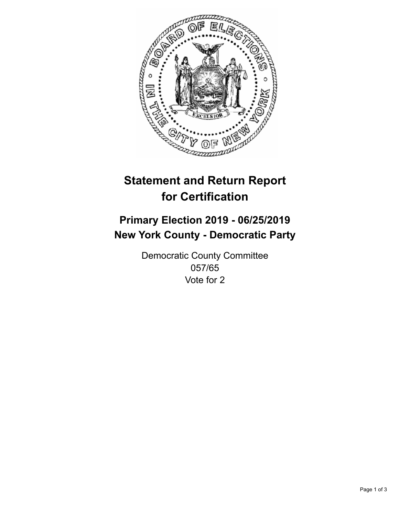

## **Statement and Return Report for Certification**

## **Primary Election 2019 - 06/25/2019 New York County - Democratic Party**

Democratic County Committee 057/65 Vote for 2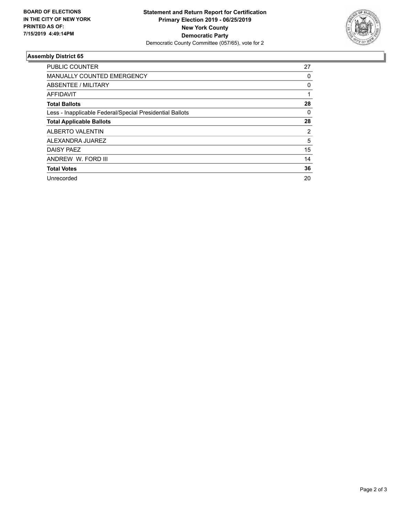

## **Assembly District 65**

| <b>PUBLIC COUNTER</b>                                    | 27 |
|----------------------------------------------------------|----|
| <b>MANUALLY COUNTED EMERGENCY</b>                        | 0  |
| ABSENTEE / MILITARY                                      | 0  |
| AFFIDAVIT                                                |    |
| <b>Total Ballots</b>                                     | 28 |
| Less - Inapplicable Federal/Special Presidential Ballots | 0  |
| <b>Total Applicable Ballots</b>                          | 28 |
| <b>ALBERTO VALENTIN</b>                                  | 2  |
| ALEXANDRA JUAREZ                                         | 5  |
| DAISY PAEZ                                               | 15 |
| ANDREW W. FORD III                                       | 14 |
| <b>Total Votes</b>                                       | 36 |
| Unrecorded                                               | 20 |